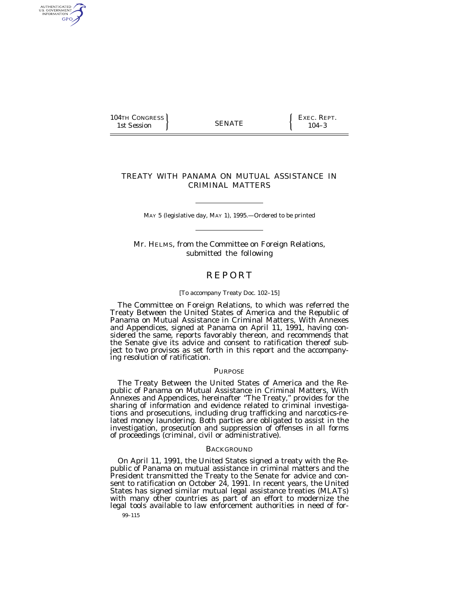$104$ TH CONGRESS  $104$  SENATE  $\left\{\begin{array}{c} \text{EXEC. } \text{REPT.} \\ 104.3 \end{array}\right\}$ 1st Session (SENATE ) 104–3

AUTHENTICATED<br>U.S. GOVERNMENT<br>INFORMATION GPO

# TREATY WITH PANAMA ON MUTUAL ASSISTANCE IN CRIMINAL MATTERS

MAY 5 (legislative day, MAY 1), 1995.—Ordered to be printed

Mr. HELMS, from the Committee on Foreign Relations, submitted the following

# **REPORT**

# [To accompany Treaty Doc. 102–15]

The Committee on Foreign Relations, to which was referred the Treaty Between the United States of America and the Republic of Panama on Mutual Assistance in Criminal Matters, With Annexes and Appendices, signed at Panama on April 11, 1991, having considered the same, reports favorably thereon, and recommends that the Senate give its advice and consent to ratification thereof subject to two provisos as set forth in this report and the accompanying resolution of ratification.

# PURPOSE

The Treaty Between the United States of America and the Republic of Panama on Mutual Assistance in Criminal Matters, With Annexes and Appendices, hereinafter ''The Treaty,'' provides for the sharing of information and evidence related to criminal investigations and prosecutions, including drug trafficking and narcotics-related money laundering. Both parties are obligated to assist in the investigation, prosecution and suppression of offenses in all forms of proceedings (criminal, civil or administrative).

# BACKGROUND

On April 11, 1991, the United States signed a treaty with the Republic of Panama on mutual assistance in criminal matters and the President transmitted the Treaty to the Senate for advice and consent to ratification on October  $24$ , 1991. In recent years, the United States has signed similar mutual legal assistance treaties (MLATs) with many other countries as part of an effort to modernize the legal tools available to law enforcement authorities in need of for-

99–115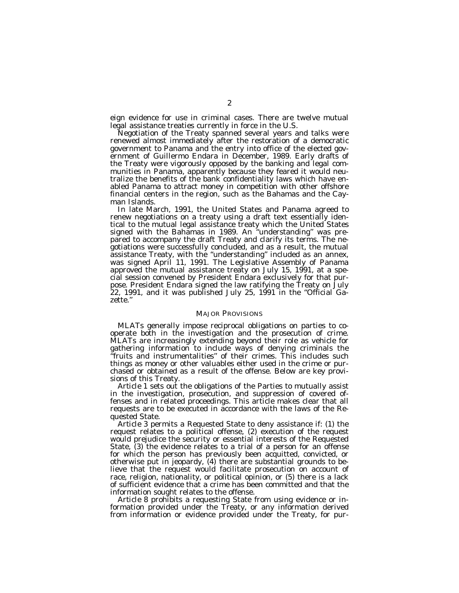eign evidence for use in criminal cases. There are twelve mutual legal assistance treaties currently in force in the U.S.

Negotiation of the Treaty spanned several years and talks were renewed almost immediately after the restoration of a democratic government to Panama and the entry into office of the elected government of Guillermo Endara in December, 1989. Early drafts of the Treaty were vigorously opposed by the banking and legal communities in Panama, apparently because they feared it would neutralize the benefits of the bank confidentiality laws which have enabled Panama to attract money in competition with other offshore financial centers in the region, such as the Bahamas and the Cayman Islands.

In late March, 1991, the United States and Panama agreed to renew negotiations on a treaty using a draft text essentially identical to the mutual legal assistance treaty which the United States signed with the Bahamas in 1989. An ''understanding'' was prepared to accompany the draft Treaty and clarify its terms. The negotiations were successfully concluded, and as a result, the mutual assistance Treaty, with the ''understanding'' included as an annex, was signed April 11, 1991. The Legislative Assembly of Panama approved the mutual assistance treaty on July 15, 1991, at a special session convened by President Endara exclusively for that purpose. President Endara signed the law ratifying the Treaty on July 22, 1991, and it was published July 25, 1991 in the ''Official Gazette.''

### MAJOR PROVISIONS

MLATs generally impose reciprocal obligations on parties to cooperate both in the investigation and the prosecution of crime. MLATs are increasingly extending beyond their role as vehicle for gathering information to include ways of denying criminals the fruits and instrumentalities" of their crimes. This includes such things as money or other valuables either used in the crime or purchased or obtained as a result of the offense. Below are key provisions of this Treaty.

*Article 1* sets out the obligations of the Parties to mutually assist in the investigation, prosecution, and suppression of covered offenses and in related proceedings. This article makes clear that all requests are to be executed in accordance with the laws of the Requested State.

*Article 3* permits a Requested State to deny assistance if: (1) the request relates to a political offense, (2) execution of the request would prejudice the security or essential interests of the Requested State, (3) the evidence relates to a trial of a person for an offense for which the person has previously been acquitted, convicted, or otherwise put in jeopardy, (4) there are substantial grounds to believe that the request would facilitate prosecution on account of race, religion, nationality, or political opinion, or (5) there is a lack of sufficient evidence that a crime has been committed and that the information sought relates to the offense.

*Article 8* prohibits a requesting State from using evidence or information provided under the Treaty, or any information derived from information or evidence provided under the Treaty, for pur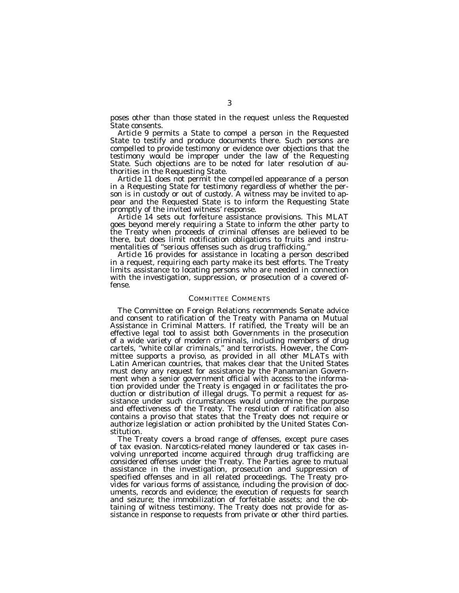poses other than those stated in the request unless the Requested State consents.

*Article 9* permits a State to compel a person in the Requested State to testify and produce documents there. Such persons are compelled to provide testimony or evidence over objections that the testimony would be improper under the law of the Requesting State. Such objections are to be noted for later resolution of authorities in the Requesting State.

*Article 11* does not permit the compelled appearance of a person in a Requesting State for testimony regardless of whether the person is in custody or out of custody. A witness may be invited to appear and the Requested State is to inform the Requesting State promptly of the invited witness' response.

*Article 14* sets out forfeiture assistance provisions. This MLAT goes beyond merely requiring a State to inform the other party to the Treaty when proceeds of criminal offenses are believed to be there, but does limit notification obligations to fruits and instrumentalities of ''serious offenses such as drug trafficking.''

*Article 16* provides for assistance in locating a person described in a request, requiring each party make its best efforts. The Treaty limits assistance to locating persons who are needed in connection with the investigation, suppression, or prosecution of a covered offense.

# COMMITTEE COMMENTS

The Committee on Foreign Relations recommends Senate advice and consent to ratification of the Treaty with Panama on Mutual Assistance in Criminal Matters. If ratified, the Treaty will be an effective legal tool to assist both Governments in the prosecution of a wide variety of modern criminals, including members of drug cartels, ''white collar criminals,'' and terrorists. However, the Committee supports a proviso, as provided in all other MLATs with Latin American countries, that makes clear that the United States must deny any request for assistance by the Panamanian Government when a senior government official with access to the information provided under the Treaty is engaged in or facilitates the production or distribution of illegal drugs. To permit a request for assistance under such circumstances would undermine the purpose and effectiveness of the Treaty. The resolution of ratification also contains a proviso that states that the Treaty does not require or authorize legislation or action prohibited by the United States Constitution.

The Treaty covers a broad range of offenses, except pure cases of tax evasion. Narcotics-related money laundered or tax cases involving unreported income acquired through drug trafficking are considered offenses under the Treaty. The Parties agree to mutual assistance in the investigation, prosecution and suppression of specified offenses and in all related proceedings. The Treaty provides for various forms of assistance, including the provision of documents, records and evidence; the execution of requests for search and seizure; the immobilization of forfeitable assets; and the obtaining of witness testimony. The Treaty does not provide for assistance in response to requests from private or other third parties.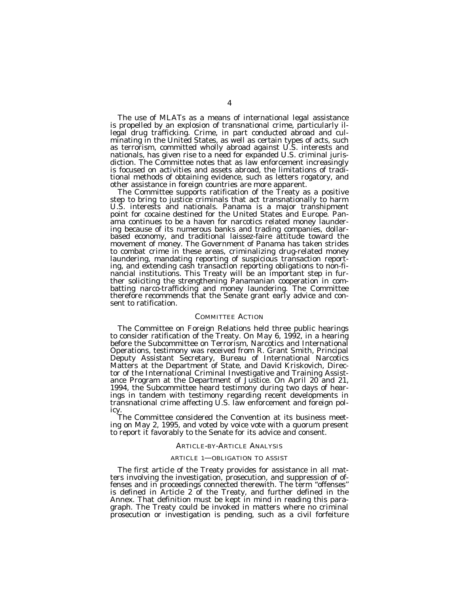The use of MLATs as a means of international legal assistance is propelled by an explosion of transnational crime, particularly illegal drug trafficking. Crime, in part conducted abroad and culminating in the United States, as well as certain types of acts, such as terrorism, committed wholly abroad against U.S. interests and nationals, has given rise to a need for expanded U.S. criminal jurisdiction. The Committee notes that as law enforcement increasingly is focused on activities and assets abroad, the limitations of traditional methods of obtaining evidence, such as letters rogatory, and other assistance in foreign countries are more apparent.

The Committee supports ratification of the Treaty as a positive step to bring to justice criminals that act transnationally to harm U.S. interests and nationals. Panama is a major transhipment point for cocaine destined for the United States and Europe. Panama continues to be a haven for narcotics related money laundering because of its numerous banks and trading companies, dollarbased economy, and traditional laissez-faire attitude toward the movement of money. The Government of Panama has taken strides to combat crime in these areas, criminalizing drug-related money laundering, mandating reporting of suspicious transaction reporting, and extending cash transaction reporting obligations to non-financial institutions. This Treaty will be an important step in further soliciting the strengthening Panamanian cooperation in combatting narco-trafficking and money laundering. The Committee therefore recommends that the Senate grant early advice and consent to ratification.

# COMMITTEE ACTION

The Committee on Foreign Relations held three public hearings to consider ratification of the Treaty. On May 6, 1992, in a hearing before the Subcommittee on Terrorism, Narcotics and International Operations, testimony was received from R. Grant Smith, Principal Deputy Assistant Secretary, Bureau of International Narcotics Matters at the Department of State, and David Kriskovich, Director of the International Criminal Investigative and Training Assistance Program at the Department of Justice. On April 20 and 21, 1994, the Subcommittee heard testimony during two days of hearings in tandem with testimony regarding recent developments in transnational crime affecting U.S. law enforcement and foreign pol-

icy.<br>The Committee considered the Convention at its business meeting on May 2, 1995, and voted by voice vote with a quorum present to report it favorably to the Senate for its advice and consent.

#### ARTICLE-BY-ARTICLE ANALYSIS

### ARTICLE 1—OBLIGATION TO ASSIST

The first article of the Treaty provides for assistance in all matters involving the investigation, prosecution, and suppression of offenses and in proceedings connected therewith. The term "offenses" is defined in Article 2 of the Treaty, and further defined in the Annex. That definition must be kept in mind in reading this paragraph. The Treaty could be invoked in matters where no criminal prosecution or investigation is pending, such as a civil forfeiture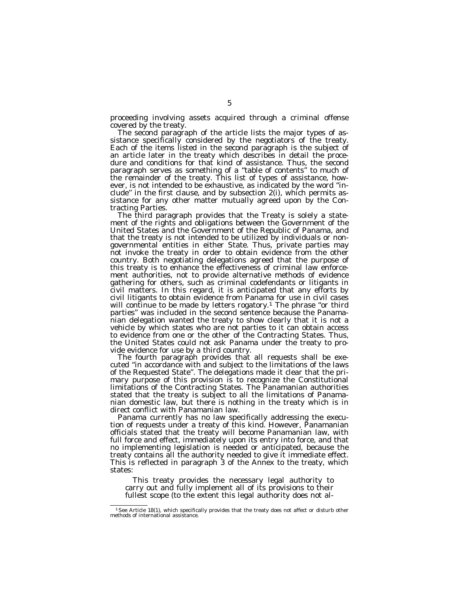proceeding involving assets acquired through a criminal offense covered by the treaty.

The second paragraph of the article lists the major types of assistance specifically considered by the negotiators of the treaty. Each of the items listed in the second paragraph is the subject of an article later in the treaty which describes in detail the procedure and conditions for that kind of assistance. Thus, the second paragraph serves as something of a ''table of contents'' to much of the remainder of the treaty. This list of types of assistance, however, is not intended to be exhaustive, as indicated by the word ''include'' in the first clause, and by subsection 2(i), which permits assistance for any other matter mutually agreed upon by the Contracting Parties.

The third paragraph provides that the Treaty is solely a statement of the rights and obligations between the Government of the United States and the Government of the Republic of Panama, and that the treaty is not intended to be utilized by individuals or nongovernmental entities in either State. Thus, private parties may not invoke the treaty in order to obtain evidence from the other country. Both negotiating delegations agreed that the purpose of this treaty is to enhance the effectiveness of criminal law enforcement authorities, not to provide alternative methods of evidence gathering for others, such as criminal codefendants or litigants in civil matters. In this regard, it is anticipated that any efforts by civil litigants to obtain evidence from Panama for use in civil cases will continue to be made by letters rogatory.<sup>1</sup> The phrase "or third parties'' was included in the second sentence because the Panamanian delegation wanted the treaty to show clearly that it is not a vehicle by which states who are not parties to it can obtain access to evidence from one or the other of the Contracting States. Thus, the United States could not ask Panama under the treaty to provide evidence for use by a third country.

The fourth paragraph provides that all requests shall be executed ''in accordance with and subject to the limitations of the laws of the Requested State''. The delegations made it clear that the primary purpose of this provision is to recognize the Constitutional limitations of the Contracting States. The Panamanian authorities stated that the treaty is subject to all the limitations of Panamanian domestic law, but there is nothing in the treaty which is in direct conflict with Panamanian law.

Panama currently has no law specifically addressing the execution of requests under a treaty of this kind. However, Panamanian officials stated that the treaty will become Panamanian law, with full force and effect, immediately upon its entry into force, and that no implementing legislation is needed or anticipated, because the treaty contains all the authority needed to give it immediate effect. This is reflected in paragraph 3 of the Annex to the treaty, which states:

This treaty provides the necessary legal authority to carry out and fully implement all of its provisions to their fullest scope (to the extent this legal authority does not al-

<sup>&</sup>lt;sup>1</sup> See Article 18(1), which specifically provides that the treaty does not affect or disturb other methods of international assistance.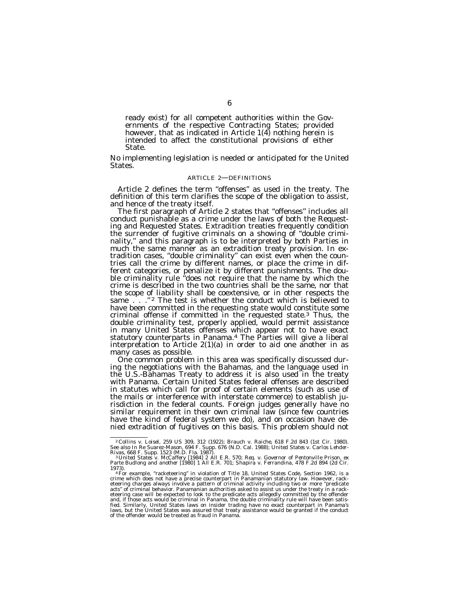ready exist) for all competent authorities within the Governments of the respective Contracting States; provided however, that as indicated in Article 1(4) nothing herein is intended to affect the constitutional provisions of either State.

No implementing legislation is needed or anticipated for the United States.

#### ARTICLE 2—DEFINITIONS

Article 2 defines the term "offenses" as used in the treaty. The definition of this term clarifies the scope of the obligation to assist, and hence of the treaty itself.

The first paragraph of Article 2 states that "offenses" includes all conduct punishable as a crime under the laws of both the Requesting and Requested States. Extradition treaties frequently condition the surrender of fugitive criminals on a showing of ''double criminality,'' and this paragraph is to be interpreted by both Parties in much the same manner as an extradition treaty provision. In extradition cases, ''double criminality'' can exist even when the countries call the crime by different names, or place the crime in different categories, or penalize it by different punishments. The double criminality rule ''does not require that the name by which the crime is described in the two countries shall be the same, nor that the scope of liability shall be coextensive, or in other respects the same  $\therefore$  ."<sup>2</sup> The test is whether the conduct which is believed to have been committed in the requesting state would constitute some criminal offense if committed in the requested state.3 Thus, the double criminality test, properly applied, would permit assistance in many United States offenses which appear not to have exact statutory counterparts in Panama.4 The Parties will give a liberal interpretation to Article 2(1)(a) in order to aid one another in as

many cases as possible.<br>One common problem in this area was specifically discussed dur-<br>ing the negotiations with the Bahamas, and the language used in the U.S.-Bahamas Treaty to address it is also used in the treaty with Panama. Certain United States federal offenses are described in statutes which call for proof of certain elements (such as use of the mails or interference with interstate commerce) to establish jurisdiction in the federal counts. Foreign judges generally have no similar requirement in their own criminal law (since few countries have the kind of federal system we do), and on occasion have denied extradition of fugitives on this basis. This problem should not

<sup>&</sup>lt;sup>2</sup> Collins v. Loisel, 259 US 309, 312 (1922); Brauch v. Raiche, 618 F.2d 843 (1st Cir. 1980).<br>See also In Re Suarez-Mason, 694 F. Supp. 676 (N.D. Cal. 1988); United States v. Carlos Lehder-

Rivas, 668 F. Supp. 1523 (M.D. Fla. 1987).<br><sup>- 3</sup> United States v. McCaffery [1984] 2 All E.R. 570; *Req. v. Governor of Pentonville Prison, ex*<br>Parte Budlong and another [1980] 1 All E.R. 701; *Shapira* v. Ferrandina, 478

<sup>1973).&</sup>lt;br>" For example, "racketeering" in violation of Title 18, United States Code, Section 1962, is a<br>crime which does not have a precise counterpart in Panamanian statutory law. However, rack-<br>eteering charges always invo acts" of criminal behavior. Panamanian authorities asked to assist us under the treaty in a rack-<br>eteering case will be expected to look to the predicate acts allegedly committed by the offender<br>and, if those acts would be fied. Similarly, United States laws on insider trading have no exact counterpart in Panama's laws, but the United States was assured that treaty assistance would be granted if the conduct of the offender would be treated as fraud in Panama.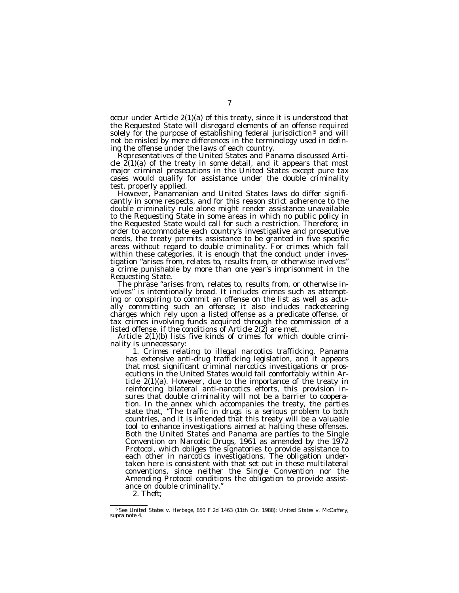occur under Article 2(1)(a) of this treaty, since it is understood that the Requested State will disregard elements of an offense required solely for the purpose of establishing federal jurisdiction<sup>5</sup> and will not be misled by mere differences in the terminology used in defining the offense under the laws of each country.

Representatives of the United States and Panama discussed Article  $2(1)(a)$  of the treaty in some detail, and it appears that most major criminal prosecutions in the United States except pure tax cases would qualify for assistance under the double criminality test, properly applied.

However, Panamanian and United States laws do differ significantly in some respects, and for this reason strict adherence to the double criminality rule alone might render assistance unavailable to the Requesting State in some areas in which no public policy in the Requested State would call for such a restriction. Therefore; in order to accommodate each country's investigative and prosecutive needs, the treaty permits assistance to be granted in five specific areas without regard to double criminality. For crimes which fall within these categories, it is enough that the conduct under investigation ''arises from, relates to, results from, or otherwise involves'' a crime punishable by more than one year's imprisonment in the Requesting State.

The phrase "arises from, relates to, results from, or otherwise in-<br>volves" is intentionally broad. It includes crimes such as attemptis intentionally broad. It includes crimes such as attempting or conspiring to commit an offense on the list as well as actually committing such an offense; it also includes racketeering charges which rely upon a listed offense as a predicate offense, or tax crimes involving funds acquired through the commission of a listed offense, if the conditions of Article 2(2) are met.

Article 2(1)(b) lists five kinds of crimes for which double criminality is unnecessary:

1. *Crimes relating to illegal narcotics trafficking*. Panama has extensive anti-drug trafficking legislation, and it appears that most significant criminal narcotics investigations or prosecutions in the United States would fall comfortably within Article 2(1)(a). However, due to the importance of the treaty in reinforcing bilateral anti-narcotics efforts, this provision insures that double criminality will not be a barrier to cooperation. In the annex which accompanies the treaty, the parties state that, ''The traffic in drugs is a serious problem to both countries, and it is intended that this treaty will be a valuable tool to enhance investigations aimed at halting these offenses. Both the United States and Panama are parties to the Single Convention on Narcotic Drugs, 1961 as amended by the 1972 Protocol, which obliges the signatories to provide assistance to each other in narcotics investigations. The obligation undertaken here is consistent with that set out in these multilateral conventions, since neither the Single Convention nor the Amending Protocol conditions the obligation to provide assistance on double criminality.''

2. *Theft;*

<sup>5</sup>See *United States* v. *Herbage,* 850 F.2d 1463 (11th Cir. 1988); *United States* v. *McCaffery,* supra note 4.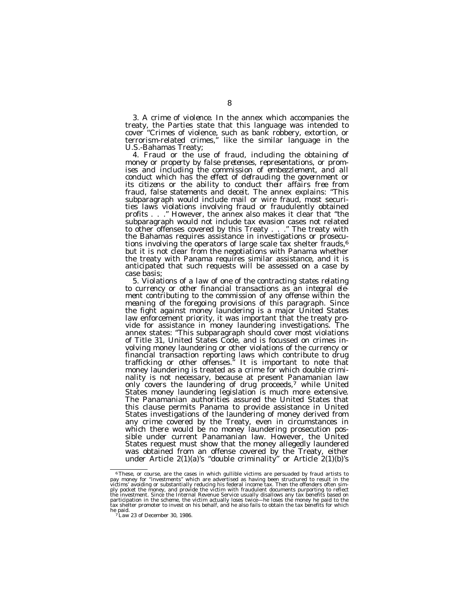3. *A crime of violence.* In the annex which accompanies the treaty, the Parties state that this language was intended to cover ''Crimes of violence, such as bank robbery, extortion, or terrorism-related crimes,'' like the similar language in the

U.S.-Bahamas Treaty;<br>4. Fraud or the use of fraud, including the obtaining of 4. *Fraud or the use of fraud, including the obtaining of money or property by false pretenses, representations, or promises and including the commission of embezzlement, and all conduct which has the effect of defrauding the government or its citizens or the ability to conduct their affairs free from fraud, false statements and deceit.* The annex explains: ''This subparagraph would include mail or wire fraud, most securities laws violations involving fraud or fraudulently obtained profits . . .'' However, the annex also makes it clear that ''the subparagraph would not include tax evasion cases not related to other offenses covered by this Treaty . . ." The treaty with the Bahamas requires assistance in investigations or prosecutions involving the operators of large scale tax shelter frauds, $6$ but it is not clear from the negotiations with Panama whether the treaty with Panama requires similar assistance, and it is anticipated that such requests will be assessed on a case by

case basis;<br>5. *Violations of a law of one of the contracting states relating* 5. *Violations of a law of one of the contracting states relating to currency or other financial transactions as an integral element contributing to the commission of any offense within the meaning of the foregoing provisions of this paragraph.* Since the fight against money laundering is a major United States law enforcement priority, it was important that the treaty provide for assistance in money laundering investigations. The annex states: "This subparagraph should cover most violations of Title 31, United States Code, and is focussed on crimes involving money laundering or other violations of the currency or financial transaction reporting laws which contribute to drug trafficking or other offenses.'' It is important to note that money laundering is treated as a crime for which double criminality is not necessary, because at present Panamanian law only covers the laundering of drug proceeds,<sup>7</sup> while United States money laundering legislation is much more extensive. The Panamanian authorities assured the United States that this clause permits Panama to provide assistance in United States investigations of the laundering of money derived from any crime covered by the Treaty, even in circumstances in which there would be no money laundering prosecution possible under current Panamanian law. However, the United States request must show that the money allegedly laundered was obtained from an offense covered by the Treaty, either under Article 2(1)(a)'s ''double criminality'' or Article 2(1)(b)'s

 $\,^6$  These, or course, are the cases in which gullible victims are persuaded by fraud artists to pay money for "investments" which are advertised as having been structured to result in the victims' avoiding or substanti he paid.<br><sup>7</sup>Law 23 of December 30, 1986.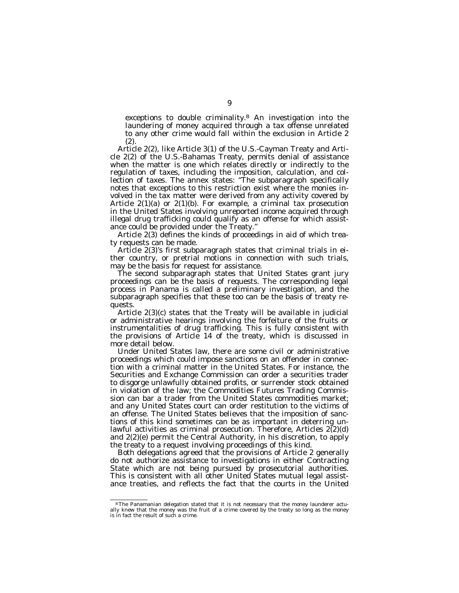exceptions to double criminality.8 An investigation into the laundering of money acquired through a tax offense unrelated to any other crime would fall within the exclusion in Article 2 (2).

Article 2(2), like Article 3(1) of the U.S.-Cayman Treaty and Article 2(2) of the U.S.-Bahamas Treaty, permits denial of assistance when the matter is one which relates directly or indirectly to the regulation of taxes, including the imposition, calculation, and collection of taxes. The annex states: ''The subparagraph specifically notes that exceptions to this restriction exist where the monies involved in the tax matter were derived from any activity covered by Article 2(1)(a) or 2(1)(b). For example, a criminal tax prosecution in the United States involving unreported income acquired through illegal drug trafficking could qualify as an offense for which assistance could be provided under the Treaty.''

Article 2(3) defines the kinds of proceedings in aid of which treaty requests can be made.

Article 2(3)'s first subparagraph states that criminal trials in either country, or pretrial motions in connection with such trials, may be the basis for request for assistance.

The second subparagraph states that United States grant jury proceedings can be the basis of requests. The corresponding legal process in Panama is called a preliminary investigation, and the subparagraph specifies that these too can be the basis of treaty requests.

Article 2(3)(c) states that the Treaty will be available in judicial or administrative hearings involving the forfeiture of the fruits or instrumentalities of drug trafficking. This is fully consistent with the provisions of Article 14 of the treaty, which is discussed in more detail below.

Under United States law, there are some civil or administrative proceedings which could impose sanctions on an offender in connection with a criminal matter in the United States. For instance, the Securities and Exchange Commission can order a securities trader to disgorge unlawfully obtained profits, or surrender stock obtained in violation of the law; the Commodities Futures Trading Commission can bar a trader from the United States commodities market; and any United States court can order restitution to the victims of an offense. The United States believes that the imposition of sanctions of this kind sometimes can be as important in deterring unlawful activities as criminal prosecution. Therefore, Articles  $2(2)(d)$ and 2(2)(e) permit the Central Authority, in his discretion, to apply the treaty to a request involving proceedings of this kind.

Both delegations agreed that the provisions of Article 2 generally do not authorize assistance to investigations in either Contracting State which are not being pursued by prosecutorial authorities. This is consistent with all other United States mutual legal assistance treaties, and reflects the fact that the courts in the United

<sup>8</sup>The Panamanian delegation stated that it is not necessary that the money launderer actually knew that the money was the fruit of a crime covered by the treaty so long as the money is in fact the result of such a crime.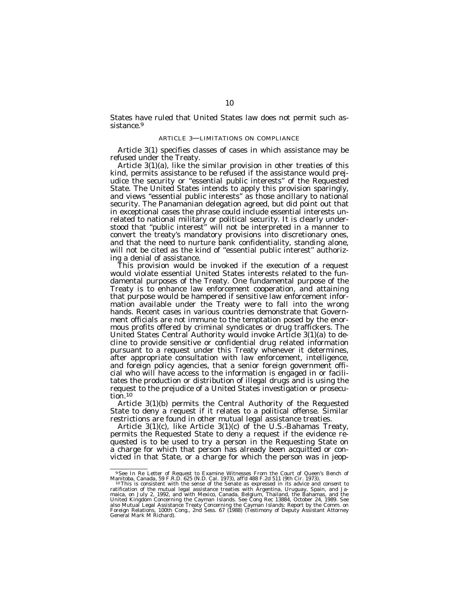States have ruled that United States law does not permit such assistance.<sup>9</sup>

# ARTICLE 3—LIMITATIONS ON COMPLIANCE

Article 3(1) specifies classes of cases in which assistance may be refused under the Treaty.

Article 3(1)(a), like the similar provision in other treaties of this kind, permits assistance to be refused if the assistance would prejudice the security or ''essential public interests'' of the Requested State. The United States intends to apply this provision sparingly, and views ''essential public interests'' as those ancillary to national security. The Panamanian delegation agreed, but did point out that in exceptional cases the phrase could include essential interests unrelated to national military or political security. It is clearly understood that ''public interest'' will not be interpreted in a manner to convert the treaty's mandatory provisions into discretionary ones, and that the need to nurture bank confidentiality, standing alone, will not be cited as the kind of "essential public interest" authorizing a denial of assistance.

This provision would be invoked if the execution of a request would violate essential United States interests related to the fundamental purposes of the Treaty. One fundamental purpose of the Treaty is to enhance law enforcement cooperation, and attaining that purpose would be hampered if sensitive law enforcement information available under the Treaty were to fall into the wrong hands. Recent cases in various countries demonstrate that Government officials are not immune to the temptation posed by the enormous profits offered by criminal syndicates or drug traffickers. The United States Central Authority would invoke Article 3(1)(a) to decline to provide sensitive or confidential drug related information pursuant to a request under this Treaty whenever it determines, after appropriate consultation with law enforcement, intelligence, and foreign policy agencies, that a senior foreign government official who will have access to the information is engaged in or facilitates the production or distribution of illegal drugs and is using the request to the prejudice of a United States investigation or prosecution.10

Article 3(1)(b) permits the Central Authority of the Requested State to deny a request if it relates to a political offense. Similar restrictions are found in other mutual legal assistance treaties.

Article 3(1)(c), like Article 3(1)(c) of the U.S.-Bahamas Treaty, permits the Requested State to deny a request if the evidence requested is to be used to try a person in the Requesting State on a charge for which that person has already been acquitted or convicted in that State, or a charge for which the person was in jeop-

<sup>&</sup>lt;sup>9</sup> See In Re Letter of Request to Examine Witnesses From the Court of Queen's Bench of Manitoba, Canada, 59 F.R.D. 625 (N.D. Cal. 1973), aff'd 488 F.2d 511 (9th Cir. 1973).<br><sup>10</sup> This is consistent with the sense of the S

ratification of the mutual legal assistance treaties with Argentina, Uruguay, Spain, and Ja-<br>maica, on July 2, 1992, and with Mexico, Canada, Belgium, Thailand, the Bahamas, and the<br>United Kingdom Concerning the Cayman Isl also Mutual Legal Assistance Treaty Concerning the Cayman Islands: Report by the Comm. on Foreign Relations, 100th Cong., 2nd Sess. 67 (1988) (Testimony of Deputy Assistant Attorney General Mark M Richard).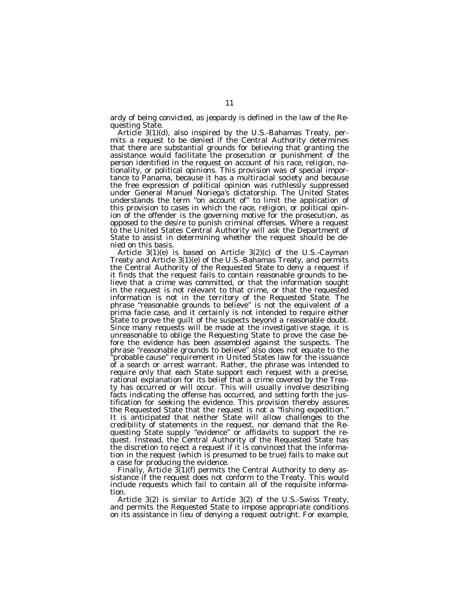ardy of being convicted, as jeopardy is defined in the law of the Re-

Article  $3(1)(d)$ , also inspired by the U.S.-Bahamas Treaty, permits a request to be denied if the Central Authority determines that there are substantial grounds for believing that granting the assistance would facilitate the prosecution or punishment of the person identified in the request on account of his race, religion, nationality, or political opinions. This provision was of special importance to Panama, because it has a multiracial society and because the free expression of political opinion was ruthlessly suppressed under General Manuel Noriega's dictatorship. The United States understands the term ''on account of'' to limit the application of this provision to cases in which the race, religion, or political opinion of the offender is the governing motive for the prosecution, as opposed to the desire to punish criminal offenses. Where a request to the United States Central Authority will ask the Department of State to assist in determining whether the request should be denied on this basis.

Article 3(1)(e) is based on Article 3(2)(c) of the U.S.-Cayman Treaty and Article 3(1)(e) of the U.S.-Bahamas Treaty, and permits the Central Authority of the Requested State to deny a request if it finds that the request fails to contain reasonable grounds to believe that a crime was committed, or that the information sought in the request is not relevant to that crime, or that the requested information is not in the territory of the Requested State. The phrase ''reasonable grounds to believe'' is not the equivalent of a prima facie case, and it certainly is not intended to require either State to prove the guilt of the suspects beyond a reasonable doubt. Since many requests will be made at the investigative stage, it is unreasonable to oblige the Requesting State to prove the case before the evidence has been assembled against the suspects. The phrase ''reasonable grounds to believe'' also does not equate to the 'probable cause" requirement in United States law for the issuance of a search or arrest warrant. Rather, the phrase was intended to require only that each State support each request with a precise, rational explanation for its belief that a crime covered by the Treaty has occurred or will occur. This will usually involve describing facts indicating the offense has occurred, and setting forth the justification for seeking the evidence. This provision thereby assures the Requested State that the request is not a "fishing expedition." It is anticipated that neither State will allow challenges to the credibility of statements in the request, nor demand that the Requesting State supply ''evidence'' or affidavits to support the request. Instead, the Central Authority of the Requested State has the discretion to reject a request if it is convinced that the information in the request (which is presumed to be true) fails to make out a case for producing the evidence.

Finally, Article  $3(1)(f)$  permits the Central Authority to deny assistance if the request does not conform to the Treaty. This would include requests which fail to contain all of the requisite information.

Article 3(2) is similar to Article 3(2) of the U.S.-Swiss Treaty, and permits the Requested State to impose appropriate conditions on its assistance in lieu of denying a request outright. For example,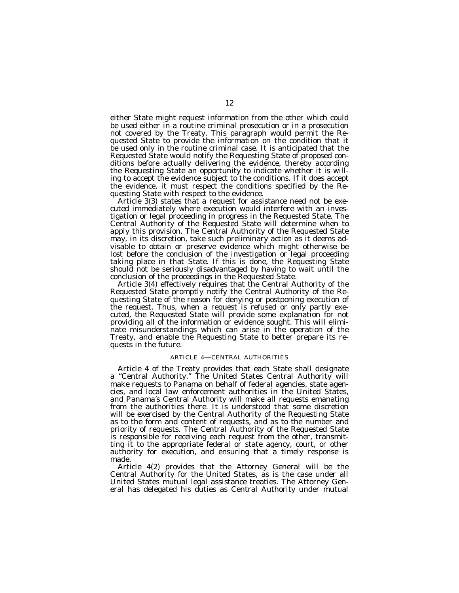either State might request information from the other which could be used either in a routine criminal prosecution or in a prosecution not covered by the Treaty. This paragraph would permit the Requested State to provide the information on the condition that it be used only in the routine criminal case. It is anticipated that the Requested State would notify the Requesting State of proposed conditions before actually delivering the evidence, thereby according the Requesting State an opportunity to indicate whether it is willing to accept the evidence subject to the conditions. If it does accept the evidence, it must respect the conditions specified by the Requesting State with respect to the evidence.

Article 3(3) states that a request for assistance need not be executed immediately where execution would interfere with an investigation or legal proceeding in progress in the Requested State. The Central Authority of the Requested State will determine when to apply this provision. The Central Authority of the Requested State may, in its discretion, take such preliminary action as it deems advisable to obtain or preserve evidence which might otherwise be lost before the conclusion of the investigation or legal proceeding taking place in that State. If this is done, the Requesting State should not be seriously disadvantaged by having to wait until the conclusion of the proceedings in the Requested State.

Article 3(4) effectively requires that the Central Authority of the Requested State promptly notify the Central Authority of the Requesting State of the reason for denying or postponing execution of the request. Thus, when a request is refused or only partly executed, the Requested State will provide some explanation for not providing all of the information or evidence sought. This will eliminate misunderstandings which can arise in the operation of the Treaty, and enable the Requesting State to better prepare its requests in the future.

#### ARTICLE 4—CENTRAL AUTHORITIES

Article 4 of the Treaty provides that each State shall designate a ''Central Authority.'' The United States Central Authority will make requests to Panama on behalf of federal agencies, state agencies, and local law enforcement authorities in the United States, and Panama's Central Authority will make all requests emanating from the authorities there. It is understood that some discretion will be exercised by the Central Authority of the Requesting State as to the form and content of requests, and as to the number and priority of requests. The Central Authority of the Requested State is responsible for receiving each request from the other, transmitting it to the appropriate federal or state agency, court, or other authority for execution, and ensuring that a timely response is made.

Article 4(2) provides that the Attorney General will be the Central Authority for the United States, as is the case under all United States mutual legal assistance treaties. The Attorney General has delegated his duties as Central Authority under mutual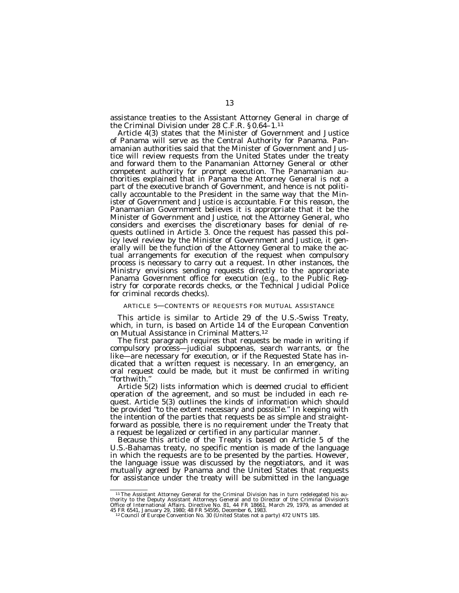assistance treaties to the Assistant Attorney General in charge of the Criminal Division under 28 C.F.R. § 0.64–1.11

Article 4(3) states that the Minister of Government and Justice of Panama will serve as the Central Authority for Panama. Panamanian authorities said that the Minister of Government and Justice will review requests from the United States under the treaty and forward them to the Panamanian Attorney General or other competent authority for prompt execution. The Panamanian authorities explained that in Panama the Attorney General is not a part of the executive branch of Government, and hence is not politically accountable to the President in the same way that the Minister of Government and Justice is accountable. For this reason, the Panamanian Government believes it is appropriate that it be the Minister of Government and Justice, not the Attorney General, who considers and exercises the discretionary bases for denial of requests outlined in Article 3. Once the request has passed this policy level review by the Minister of Government and Justice, it generally will be the function of the Attorney General to make the actual arrangements for execution of the request when compulsory process is necessary to carry out a request. In other instances, the Ministry envisions sending requests directly to the appropriate Panama Government office for execution (e.g., to the Public Registry for corporate records checks, or the Technical Judicial Police for criminal records checks).

# ARTICLE 5—CONTENTS OF REQUESTS FOR MUTUAL ASSISTANCE

This article is similar to Article 29 of the U.S.-Swiss Treaty, which, in turn, is based on Article 14 of the European Convention on Mutual Assistance in Criminal Matters.12

The first paragraph requires that requests be made in writing if compulsory process—judicial subpoenas, search warrants, or the like—are necessary for execution, or if the Requested State has indicated that a written request is necessary. In an emergency, an oral request could be made, but it must be confirmed in writing ''forthwith.''

Article 5(2) lists information which is deemed crucial to efficient operation of the agreement, and so must be included in each request. Article 5(3) outlines the kinds of information which should be provided ''to the extent necessary and possible.'' In keeping with the intention of the parties that requests be as simple and straightforward as possible, there is no requirement under the Treaty that a request be legalized or certified in any particular manner.

Because this article of the Treaty is based on Article 5 of the U.S.-Bahamas treaty, no specific mention is made of the language in which the requests are to be presented by the parties. However, the language issue was discussed by the negotiators, and it was mutually agreed by Panama and the United States that requests for assistance under the treaty will be submitted in the language

<sup>&</sup>lt;sup>11</sup>The Assistant Attorney General for the Criminal Division has in turn redelegated his authority to the Deputy Assistant Attorneys General and to Director of the Criminal Division's Office of International Affairs. Dire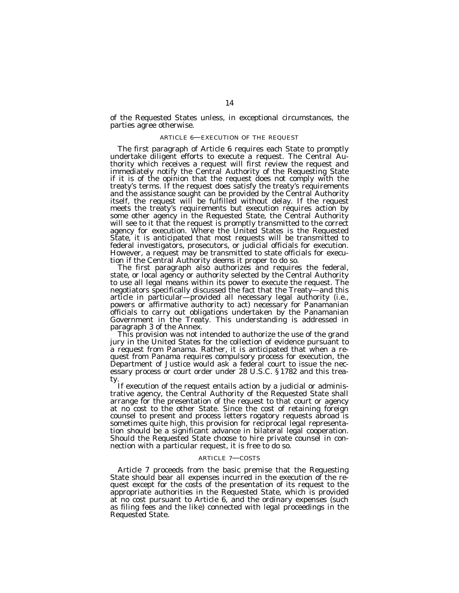of the Requested States unless, in exceptional circumstances, the parties agree otherwise.

# ARTICLE 6—EXECUTION OF THE REQUEST

The first paragraph of Article 6 requires each State to promptly undertake diligent efforts to execute a request. The Central Authority which receives a request will first review the request and immediately notify the Central Authority of the Requesting State if it is of the opinion that the request does not comply with the treaty's terms. If the request does satisfy the treaty's requirements and the assistance sought can be provided by the Central Authority itself, the request will be fulfilled without delay. If the request meets the treaty's requirements but execution requires action by some other agency in the Requested State, the Central Authority will see to it that the request is promptly transmitted to the correct agency for execution. Where the United States is the Requested State, it is anticipated that most requests will be transmitted to federal investigators, prosecutors, or judicial officials for execution. However, a request may be transmitted to state officials for execution if the Central Authority deems it proper to do so.

The first paragraph also authorizes and requires the federal, state, or local agency or authority selected by the Central Authority to use all legal means within its power to execute the request. The negotiators specifically discussed the fact that the Treaty—and this article in particular—provided all necessary legal authority (i.e., powers or affirmative authority to act) necessary for Panamanian officials to carry out obligations undertaken by the Panamanian Government in the Treaty. This understanding is addressed in

paragraph 3 of the Annex.<br>This provision was not intended to authorize the use of the grand jury in the United States for the collection of evidence pursuant to a request from Panama. Rather, it is anticipated that when a request from Panama requires compulsory process for execution, the Department of Justice would ask a federal court to issue the necessary process or court order under 28 U.S.C. § 1782 and this trea-

ty.<br>If execution of the request entails action by a judicial or adminis-<br>trative agency, the Central Authority of the Requested State shall arrange for the presentation of the request to that court or agency at no cost to the other State. Since the cost of retaining foreign counsel to present and process letters rogatory requests abroad is sometimes quite high, this provision for reciprocal legal representation should be a significant advance in bilateral legal cooperation. Should the Requested State choose to hire private counsel in connection with a particular request, it is free to do so.

### ARTICLE 7—COSTS

Article 7 proceeds from the basic premise that the Requesting State should bear all expenses incurred in the execution of the request except for the costs of the presentation of its request to the appropriate authorities in the Requested State, which is provided at no cost pursuant to Article 6, and the ordinary expenses (such as filing fees and the like) connected with legal proceedings in the Requested State.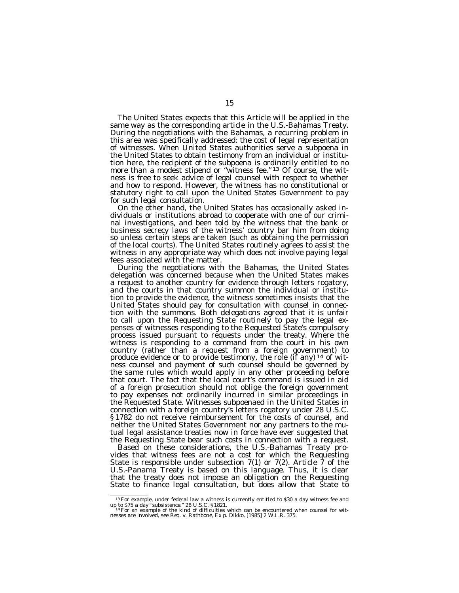The United States expects that this Article will be applied in the same way as the corresponding article in the U.S.-Bahamas Treaty. During the negotiations with the Bahamas, a recurring problem in this area was specifically addressed: the cost of legal representation of witnesses. When United States authorities serve a subpoena in the United States to obtain testimony from an individual or institution here, the recipient of the subpoena is ordinarily entitled to no more than a modest stipend or "witness fee."<sup>13</sup> Of course, the witness is free to seek advice of legal counsel with respect to whether and how to respond. However, the witness has no constitutional or statutory right to call upon the United States Government to pay for such legal consultation.

On the other hand, the United States has occasionally asked individuals or institutions abroad to cooperate with one of our criminal investigations, and been told by the witness that the bank or business secrecy laws of the witness' country bar him from doing so unless certain steps are taken (such as obtaining the permission of the local courts). The United States routinely agrees to assist the witness in any appropriate way which does not involve paying legal fees associated with the matter.

During the negotiations with the Bahamas, the United States delegation was concerned because when the United States makes a request to another country for evidence through letters rogatory, and the courts in that country summon the individual or institution to provide the evidence, the witness sometimes insists that the United States should pay for consultation with counsel in connection with the summons. Both delegations agreed that it is unfair to call upon the Requesting State routinely to pay the legal expenses of witnesses responding to the Requested State's compulsory process issued pursuant to requests under the treaty. Where the witness is responding to a command from the court in his own country (rather than a request from a foreign government) to produce evidence or to provide testimony, the role (if any)<sup>14</sup> of witness counsel and payment of such counsel should be governed by the same rules which would apply in any other proceeding before that court. The fact that the local court's command is issued in aid of a foreign prosecution should not oblige the foreign government to pay expenses not ordinarily incurred in similar proceedings in the Requested State. Witnesses subpoenaed in the United States in connection with a foreign country's letters rogatory under 28 U.S.C. § 1782 do not receive reimbursement for the costs of counsel, and neither the United States Government nor any partners to the mutual legal assistance treaties now in force have ever suggested that the Requesting State bear such costs in connection with a request.

Based on these considerations, the U.S.-Bahamas Treaty provides that witness fees are not a cost for which the Requesting State is responsible under subsection 7(1) or 7(2). Article 7 of the U.S.-Panama Treaty is based on this language. Thus, it is clear that the treaty does not impose an obligation on the Requesting State to finance legal consultation, but does allow that State to

<sup>&</sup>lt;sup>13</sup> For example, under federal law a witness is currently entitled to \$30 a day witness fee and up to \$75 a day "subsistence." 28 U.S.C. § 1821.<br><sup>14</sup> For an example of the kind of difficulties which can be encountered wh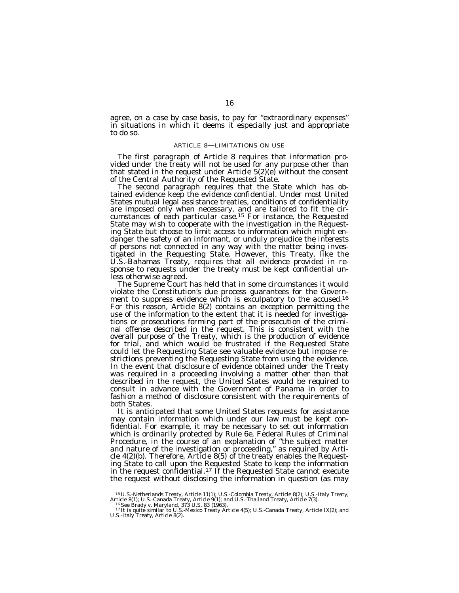agree, on a case by case basis, to pay for ''extraordinary expenses'' in situations in which it deems it especially just and appropriate to do so.

### ARTICLE 8—LIMITATIONS ON USE

The first paragraph of Article 8 requires that information provided under the treaty will not be used for any purpose other than that stated in the request under Article  $5(2)(e)$  without the consent of the Central Authority of the Requested State.

The second paragraph requires that the State which has obtained evidence keep the evidence confidential. Under most United States mutual legal assistance treaties, conditions of confidentiality are imposed only when necessary, and are tailored to fit the circumstances of each particular case.15 For instance, the Requested State may wish to cooperate with the investigation in the Requesting State but choose to limit access to information which might endanger the safety of an informant, or unduly prejudice the interests of persons not connected in any way with the matter being investigated in the Requesting State. However, this Treaty, like the U.S.-Bahamas Treaty, requires that *all* evidence provided in response to requests under the treaty must be kept confidential unless otherwise agreed.

The Supreme Court has held that in some circumstances it would violate the Constitution's due process guarantees for the Government to suppress evidence which is exculpatory to the accused.<sup>16</sup> For this reason, Article 8(2) contains an exception permitting the use of the information to the extent that it is needed for investigations or prosecutions forming part of the prosecution of the criminal offense described in the request. This is consistent with the overall purpose of the Treaty, which is the production of evidence for trial, and which would be frustrated if the Requested State could let the Requesting State see valuable evidence but impose restrictions preventing the Requesting State from using the evidence. In the event that disclosure of evidence obtained under the Treaty was required in a proceeding involving a matter other than that described in the request, the United States would be required to consult in advance with the Government of Panama in order to fashion a method of disclosure consistent with the requirements of both States.

It is anticipated that some United States requests for assistance may contain information which under our law must be kept confidential. For example, it may be necessary to set out information which is ordinarily protected by Rule 6e, Federal Rules of Criminal Procedure, in the course of an explanation of ''the subject matter and nature of the investigation or proceeding,'' as required by Article 4(2)(b). Therefore, Article 8(5) of the treaty enables the Requesting State to call upon the Requested State to keep the information in the request confidential.<sup>17</sup> If the Requested State cannot execute the request without disclosing the information in question (as may

<sup>&</sup>lt;sup>15</sup> U.S.-Netherlands Treaty, Article 11(1); U.S.-Colombia Treaty, Article 8(2); U.S.-Italy Treaty, Article 8(1); U.S.-Canada Treaty, Article 9(1); and U.S.-Thailand Treaty, Article 7(3).<br><sup>16</sup> See *Brady* v. *Maryland*, 3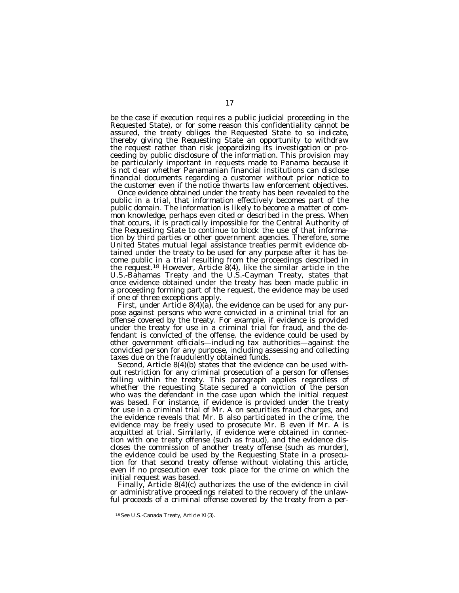be the case if execution requires a public judicial proceeding in the Requested State), or for some reason this confidentiality cannot be assured, the treaty obliges the Requested State to so indicate, thereby giving the Requesting State an opportunity to withdraw the request rather than risk jeopardizing its investigation or proceeding by public disclosure of the information. This provision may be particularly important in requests made to Panama because it is not clear whether Panamanian financial institutions can disclose financial documents regarding a customer without prior notice to the customer even if the notice thwarts law enforcement objectives.

Once evidence obtained under the treaty has been revealed to the public in a trial, that information effectively becomes part of the public domain. The information is likely to become a matter of common knowledge, perhaps even cited or described in the press. When that occurs, it is practically impossible for the Central Authority of the Requesting State to continue to block the use of that information by third parties or other government agencies. Therefore, some United States mutual legal assistance treaties permit evidence obtained under the treaty to be used for any purpose after it has become public in a trial resulting from the proceedings described in the request.18 However, Article 8(4), like the similar article in the U.S.-Bahamas Treaty and the U.S.-Cayman Treaty, states that once evidence obtained under the treaty has been made public in a proceeding forming part of the request, the evidence may be used if one of three exceptions apply.

First, under Article 8(4)(a), the evidence can be used for any purpose against persons who were convicted in a criminal trial for an offense covered by the treaty. For example, if evidence is provided under the treaty for use in a criminal trial for fraud, and the defendant is convicted of the offense, the evidence could be used by other government officials—including tax authorities—against the convicted person for any purpose, including assessing and collecting taxes due on the fraudulently obtained funds.

Second, Article 8(4)(b) states that the evidence can be used without restriction for any criminal prosecution of a person for offenses falling within the treaty. This paragraph applies regardless of whether the requesting State secured a conviction of the person who was the defendant in the case upon which the initial request was based. For instance, if evidence is provided under the treaty for use in a criminal trial of Mr. A on securities fraud charges, and the evidence reveals that Mr. B also participated in the crime, the evidence may be freely used to prosecute Mr. B even if Mr. A is acquitted at trial. Similarly, if evidence were obtained in connection with one treaty offense (such as fraud), and the evidence discloses the commission of another treaty offense (such as murder), the evidence could be used by the Requesting State in a prosecution for that second treaty offense without violating this article, even if no prosecution ever took place for the crime on which the initial request was based.

Finally, Article 8(4)(c) authorizes the use of the evidence in civil or administrative proceedings related to the recovery of the unlawful proceeds of a criminal offense covered by the treaty from a per-

<sup>18</sup>See U.S.-Canada Treaty, Article XI(3).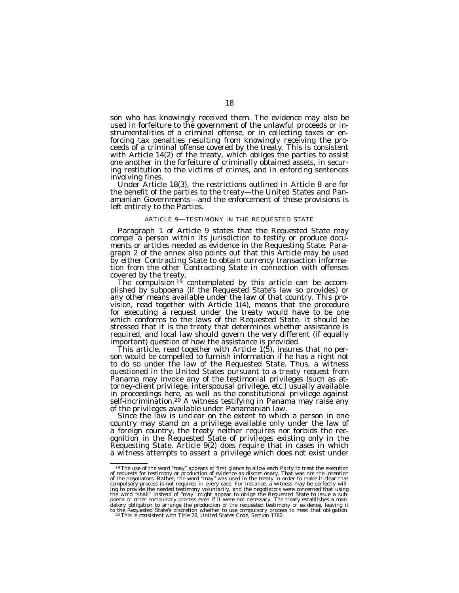son who has knowingly received them. The evidence may also be used in forfeiture to the government of the unlawful proceeds or instrumentalities of a criminal offense, or in collecting taxes or enforcing tax penalties resulting from knowingly receiving the proceeds of a criminal offense covered by the treaty. This is consistent with Article 14(2) of the treaty, which obliges the parties to assist one another in the forfeiture of criminally obtained assets, in securing restitution to the victims of crimes, and in enforcing sentences involving fines. Under Article 18(3), the restrictions outlined in Article 8 are for

the benefit of the parties to the treaty—the United States and Panamanian Governments—and the enforcement of these provisions is left entirely to the Parties.

### ARTICLE 9—TESTIMONY IN THE REQUESTED STATE

Paragraph 1 of Article 9 states that the Requested State may compel a person within its jurisdiction to testify or produce documents or articles needed as evidence in the Requesting State. Paragraph 2 of the annex also points out that this Article may be used by either Contracting State to obtain currency transaction information from the other Contracting State in connection with offenses

covered by the treaty.<br>The compulsion <sup>19</sup> contemplated by this article can be accom-<br>plished by subpoena (if the Requested State's law so provides) or any other means available under the law of that country. This provision, read together with Article 1(4), means that the procedure for executing a request under the treaty would have to be one which conforms to the laws of the Requested State. It should be stressed that it is the treaty that determines *whether* assistance is required, and local law should govern the very different (if equally important) question of *how* the assistance is provided.

This article, read together with Article 1(5), insures that no per-<br>son would be compelled to furnish information if he has a right not to do so under the law of the Requested State. Thus, a witness questioned in the United States pursuant to a treaty request from Panama may invoke any of the testimonial privileges (such as attorney-client privilege, interspousal privilege, etc.) usually available in proceedings here, as well as the constitutional privilege against self-incrimination.<sup>20</sup> A witness testifying in Panama may raise any of the privileges available under Panamanian law.<br>Since the law is unclear on the extent to which a person in one

country may stand on a privilege available only under the law of a foreign country, the treaty neither requires nor forbids the recognition in the Requested State of privileges existing only in the Requesting State. Article 9(2) does require that in cases in which a witness attempts to assert a privilege which does not exist under

 $^{19}$  The use of the word "may" appears at first glance to allow each Party to treat the execution of requests for testimony or production of evidence as discretionary. That was not the intention of the negotiators. Rath ing to provide the needed testimony voluntarily, and the negotiators were concerned that using<br>the word "shall" instead of "may" might appear to oblige the Requested State to issue a sub-<br>poena or other compulsory process datory obligation to arrange the production of the requested testimony or evidence, leaving it<br>to the Requested State's discretion whether to use compulsory process to meet that obligation.<br>20This is consistent with Title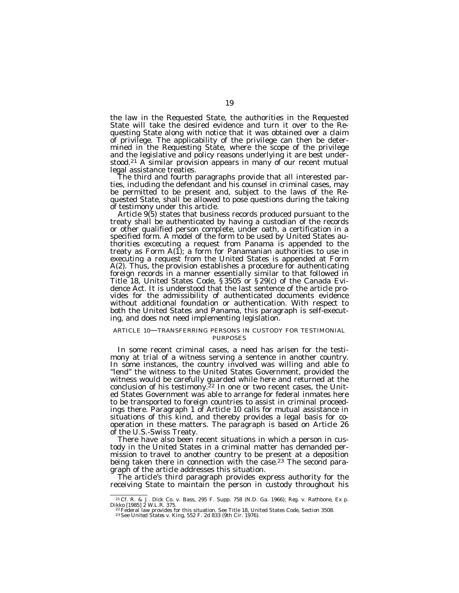the law in the Requested State, the authorities in the Requested State will take the desired evidence and turn it over to the Requesting State along with notice that it was obtained over a claim of privilege. The applicability of the privilege can then be determined in the Requesting State, where the scope of the privilege and the legislative and policy reasons underlying it are best under-<br>stood.<sup>21</sup> A similar provision appears in many of our recent mutual

legal assistance treaties.<br>The third and fourth paragraphs provide that all interested parties, including the defendant and his counsel in criminal cases, may be permitted to be present and, subject to the laws of the Requested State, shall be allowed to pose questions during the taking

of testimony under this article. Article 9(5) states that business records produced pursuant to the treaty shall be authenticated by having a custodian of the records or other qualified person complete, under oath, a certification in a specified form. A model of the form to be used by United States authorities excecuting a request from Panama is appended to the treaty as Form  $A(I)$ ; a form for Panamanian authorities to use in executing a request from the United States is appended at Form A(2). Thus, the provision establishes a procedure for authenticating foreign records in a manner essentially similar to that followed in Title 18, United States Code, § 3505 or § 29(c) of the Canada Evidence Act. It is understood that the last sentence of the article provides for the admissibility of authenticated documents evidence without additional foundation or authentication. With respect to both the United States and Panama, this paragraph is self-executing, and does not need implementing legislation.

# ARTICLE 10—TRANSFERRING PERSONS IN CUSTODY FOR TESTIMONIAL PURPOSES

In some recent criminal cases, a need has arisen for the testimony at trial of a witness serving a sentence in another country. In some instances, the country involved was willing and able to "lend" the witness to the United States Government, provided the witness would be carefully guarded while here and returned at the conclusion of his testimony.<sup>22</sup> In one or two recent cases, the United States Government was able to arrange for federal inmates here to be transported to foreign countries to assist in criminal proceedings there. Paragraph 1 of Article 10 calls for mutual assistance in situations of this kind, and thereby provides a legal basis for cooperation in these matters. The paragraph is based on Article 26 of the U.S.-Swiss Treaty.

There have also been recent situations in which a person in custody in the United States in a criminal matter has demanded permission to travel to another country to be present at a deposition being taken there in connection with the case.<sup>23</sup> The second paragraph of the article addresses this situation.

The article's third paragraph provides express authority for the receiving State to maintain the person in custody throughout his

<sup>&</sup>lt;sup>21</sup> Cf. R. & J. Dick Co. v. Bass, 295 F. Supp. 758 (N.D. Ga. 1966); Reg. v. Rathbone, Ex p. Dikko [1985] 2 W.L.R. 375.<br>
<sup>22</sup> Federal law provides for this situation. See Title 18, United States Code, Section 3508.<br>
<sup>22</sup>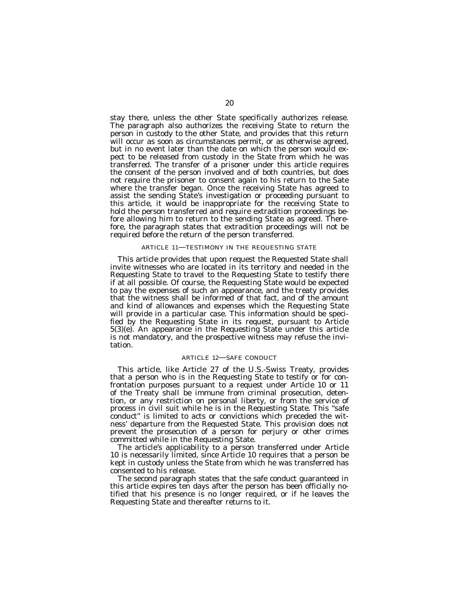stay there, unless the other State specifically authorizes release. The paragraph also authorizes the receiving State to return the person in custody to the other State, and provides that this return will occur as soon as circumstances permit, or as otherwise agreed, but in no event later than the date on which the person would expect to be released from custody in the State from which he was transferred. The transfer of a prisoner under this article requires the consent of the person involved and of both countries, but does not require the prisoner to consent again to his return to the Sate where the transfer began. Once the receiving State has agreed to assist the sending State's investigation or proceeding pursuant to this article, it would be inappropriate for the receiving State to hold the person transferred and require extradition proceedings before allowing him to return to the sending State as agreed. Therefore, the paragraph states that extradition proceedings will not be required before the return of the person transferred.

# ARTICLE 11—TESTIMONY IN THE REQUESTING STATE

This article provides that upon request the Requested State shall invite witnesses who are located in its territory and needed in the Requesting State to travel to the Requesting State to testify there if at all possible. Of course, the Requesting State would be expected to pay the expenses of such an appearance, and the treaty provides that the witness shall be informed of that fact, and of the amount and kind of allowances and expenses which the Requesting State will provide in a particular case. This information should be specified by the Requesting State in its request, pursuant to Article 5(3)(e). An appearance in the Requesting State under this article is not mandatory, and the prospective witness may refuse the invitation.

# ARTICLE 12—SAFE CONDUCT

This article, like Article 27 of the U.S.-Swiss Treaty, provides that a person who is in the Requesting State to testify or for confrontation purposes pursuant to a request under Article 10 or 11 of the Treaty shall be immune from criminal prosecution, detention, or any restriction on personal liberty, or from the service of process in civil suit while he is in the Requesting State. This ''safe conduct'' is limited to acts or convictions which preceded the witness' departure from the Requested State. This provision does not prevent the prosecution of a person for perjury or other crimes committed while in the Requesting State.

The article's applicability to a person transferred under Article 10 is necessarily limited, since Article 10 requires that a person be kept in custody unless the State from which he was transferred has consented to his release.

The second paragraph states that the safe conduct guaranteed in this article expires ten days after the person has been officially notified that his presence is no longer required, or if he leaves the Requesting State and thereafter returns to it.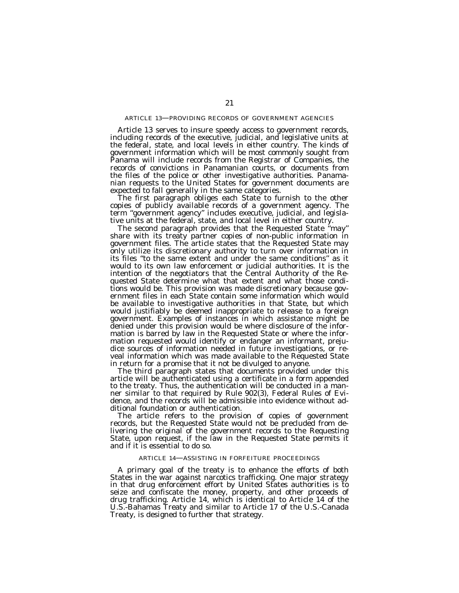# ARTICLE 13—PROVIDING RECORDS OF GOVERNMENT AGENCIES

Article 13 serves to insure speedy access to government records, including records of the executive, judicial, and legislative units at the federal, state, and local levels in either country. The kinds of government information which will be most commonly sought from Panama will include records from the Registrar of Companies, the records of convictions in Panamanian courts, or documents from the files of the police or other investigative authorities. Panamanian requests to the United States for government documents are expected to fall generally in the same categories.

The first paragraph obliges each State to furnish to the other copies of publicly available records of a government agency. The term ''government agency'' includes executive, judicial, and legislative units at the federal, state, and local level in either country.

The second paragraph provides that the Requested State ''may'' share with its treaty partner copies of non-public information in government files. The article states that the Requested State may only utilize its discretionary authority to turn over information in its files ''to the same extent and under the same conditions'' as it would to its own law enforcement or judicial authorities. It is the intention of the negotiators that the Central Authority of the Requested State determine what that extent and what those conditions would be. This provision was made discretionary because government files in each State contain some information which would be available to investigative authorities in that State, but which would justifiably be deemed inappropriate to release to a foreign government. Examples of instances in which assistance might be denied under this provision would be where disclosure of the information is barred by law in the Requested State or where the information requested would identify or endanger an informant, prejudice sources of information needed in future investigations, or reveal information which was made available to the Requested State in return for a promise that it not be divulged to anyone.

The third paragraph states that documents provided under this article will be authenticated using a certificate in a form appended to the treaty. Thus, the authentication will be conducted in a manner similar to that required by Rule 902(3), Federal Rules of Evidence, and the records will be admissible into evidence without additional foundation or authentication.

The article refers to the provision of copies of government records, but the Requested State would not be precluded from delivering the original of the government records to the Requesting State, upon request, if the law in the Requested State permits it and if it is essential to do so.

#### ARTICLE 14—ASSISTING IN FORFEITURE PROCEEDINGS

A primary goal of the treaty is to enhance the efforts of both States in the war against narcotics trafficking. One major strategy in that drug enforcement effort by United States authorities is to seize and confiscate the money, property, and other proceeds of drug trafficking. Article 14, which is identical to Article 14 of the U.S.-Bahamas Treaty and similar to Article 17 of the U.S.-Canada Treaty, is designed to further that strategy.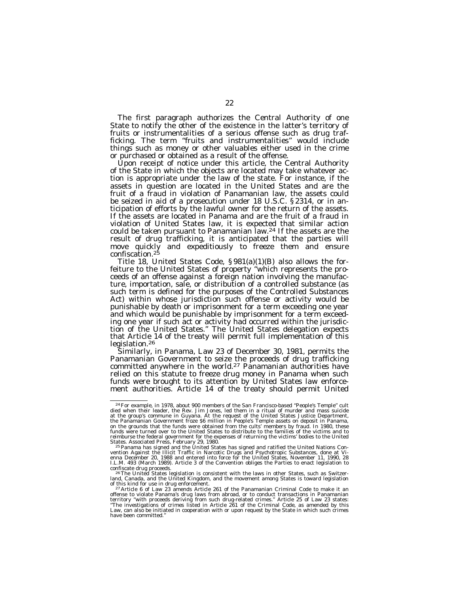The first paragraph authorizes the Central Authority of one State to notify the other of the existence in the latter's territory of fruits or instrumentalities of a serious offense such as drug trafficking. The term ''fruits and instrumentalities'' would include things such as money or other valuables either used in the crime or purchased or obtained as a result of the offense.

Upon receipt of notice under this article, the Central Authority of the State in which the objects are located may take whatever action is appropriate under the law of the state. For instance, if the assets in question are located in the United States and are the fruit of a fraud in violation of Panamanian law, the assets could be seized in aid of a prosecution under 18 U.S.C. § 2314, or in anticipation of efforts by the lawful owner for the return of the assets. If the assets are located in Panama and are the fruit of a fraud in violation of United States law, it is expected that similar action could be taken pursuant to Panamanian law.24 If the assets are the result of drug trafficking, it is anticipated that the parties will move quickly and expeditiously to freeze them and ensure confiscation.25

Title 18, United States Code, § 981(a)(1)(B) also allows the forfeiture to the United States of property ''which represents the proceeds of an offense against a foreign nation involving the manufacture, importation, sale, or distribution of a controlled substance (as such term is defined for the purposes of the Controlled Substances Act) within whose jurisdiction such offense or activity would be punishable by death or imprisonment for a term exceeding one year and which would be punishable by imprisonment for a term exceeding one year if such act or activity had occurred within the jurisdiction of the United States." The United States delegation expects that Article 14 of the treaty will permit full implementation of this legislation.26

Similarly, in Panama, Law 23 of December 30, 1981, permits the Panamanian Government to seize the proceeds of drug trafficking committed anywhere in the world.<sup>27</sup> Panamanian authorities have relied on this statute to freeze drug money in Panama when such funds were brought to its attention by United States law enforcement authorities. Article 14 of the treaty should permit United

<sup>24</sup>For example, in 1978, about 900 members of the San Francisco-based ''People's Temple'' cult died when their leader, the Rev. Jim Jones, led them in a ritual of murder and mass suicide at the group's commune in Guyana. At the request of the United States Justice Department, the Panamanian Government froze \$6 million in People's Temple assets on deposit in Panama, on the grounds that the funds were obtained from the cults' members by fraud. In 1980, these<br>funds were turned over to the United States to distribute to the families of the victims and to<br>reimburse the federal government

States. Associated Press, February 29, 1980.<br><sup>25 p</sup>anama has signed and the United States has signed and ratified the United Nations Con-<br>vention Against the Illicit Traffic in Narcotic Drugs and Psychotropic Substances, d enna December 20, 1988 and entered into force for the United States, November 11, 1990, 28 I.L.M. 493 (March 1989). Article 3 of the Convention obliges the Parties to enact legislation to

confiscate drug proceeds.<br><sup>26</sup>The United States legislation is consistent with the laws in other States, such as Switzer-<br>land, Canada, and the United Kingdom, and the movement among States is toward legislation of this kind for use in drug enforcement.<br>
<sup>27</sup> Article 6 of Law 23 amends Article 261 of the Panamanian Criminal Code to make it an

offense to violate Panama's drug laws from abroad, or to conduct transactions in Panamanian territory ''with proceeds deriving from such drug-related crimes.'' Article 25 of Law 23 states: ''The investigations of crimes listed in Article 261 of the Criminal Code, as amended by this Law, can also be initiated in cooperation with or upon request by the State in which such crimes have been committed.''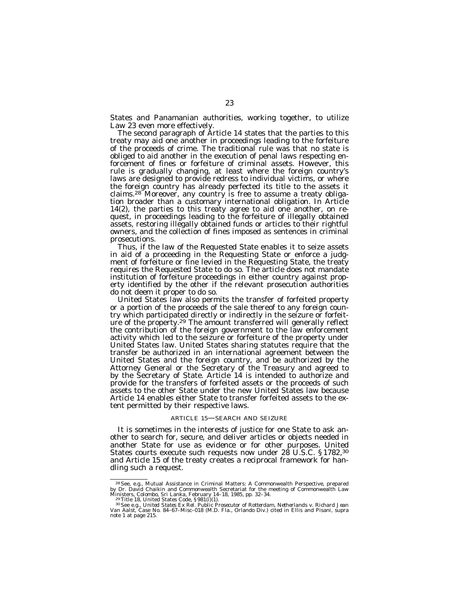States and Panamanian authorities, working together, to utilize Law 23 even more effectively.

The second paragraph of Article 14 states that the parties to this treaty may aid one another in proceedings leading to the forfeiture of the proceeds of crime. The traditional rule was that no state is obliged to aid another in the execution of penal laws respecting enforcement of fines or forfeiture of criminal assets. However, this rule is gradually changing, at least where the foreign country's laws are designed to provide redress to individual victims, or where the foreign country has already perfected its title to the assets it claims.28 Moreover, any country is free to assume a treaty obligation broader than a customary international obligation. In Article 14(2), the parties to this treaty agree to aid one another, on request, in proceedings leading to the forfeiture of illegally obtained assets, restoring illegally obtained funds or articles to their rightful owners, and the collection of fines imposed as sentences in criminal prosecutions.

Thus, if the law of the Requested State enables it to seize assets in aid of a proceeding in the Requesting State or enforce a judgment of forfeiture or fine levied in the Requesting State, the treaty requires the Requested State to do so. The article does not mandate institution of forfeiture proceedings in either country against property identified by the other if the relevant prosecution authorities do not deem it proper to do so.

United States law also permits the transfer of forfeited property or a portion of the proceeds of the sale thereof to any foreign country which participated directly or indirectly in the seizure or forfeiture of the property.<sup>29</sup> The amount transferred will generally reflect the contribution of the foreign government to the law enforcement activity which led to the seizure or forfeiture of the property under United States law. United States sharing statutes require that the transfer be authorized in an international agreement between the United States and the foreign country, and be authorized by the Attorney General or the Secretary of the Treasury and agreed to by the Secretary of State. Article 14 is intended to authorize and provide for the transfers of forfeited assets or the proceeds of such assets to the other State under the new United States law because Article 14 enables either State to transfer forfeited assets to the extent permitted by their respective laws.

# ARTICLE 15—SEARCH AND SEIZURE

It is sometimes in the interests of justice for one State to ask another to search for, secure, and deliver articles or objects needed in another State for use as evidence or for other purposes. United States courts execute such requests now under 28 U.S.C. § 1782,<sup>30</sup> and Article 15 of the treaty creates a reciprocal framework for handling such a request.

<sup>&</sup>lt;sup>28</sup> See, e.g., Mutual Assistance in Criminal Matters: A Commonwealth Perspective, prepared<br>by Dr. David Chaikin and Commonwealth Secretariat for the meeting of Commonwealth Law<br>Ministers, Colombo, Sri Lanka, February 14–

*Van Aalst*, Case No. 84–67–Misc–018 (M.D. Fla., Orlando Div.) cited in Ellis and Pisani, supra note 1 at page 215.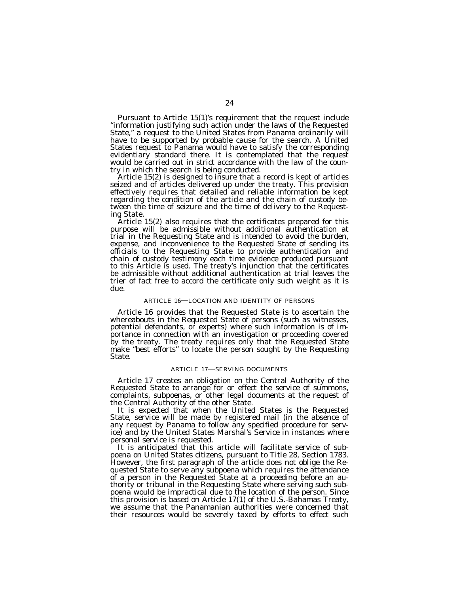Pursuant to Article 15(1)'s requirement that the request include ''information justifying such action under the laws of the Requested State,'' a request to the United States from Panama ordinarily will have to be supported by probable cause for the search. A United States request to Panama would have to satisfy the corresponding evidentiary standard there. It is contemplated that the request would be carried out in strict accordance with the law of the country in which the search is being conducted.

Article 15(2) is designed to insure that a record is kept of articles seized and of articles delivered up under the treaty. This provision effectively requires that detailed and reliable information be kept regarding the condition of the article and the chain of custody between the time of seizure and the time of delivery to the Request-

ing State. Article 15(2) also requires that the certificates prepared for this purpose will be admissible without additional authentication at trial in the Requesting State and is intended to avoid the burden, expense, and inconvenience to the Requested State of sending its officials to the Requesting State to provide authentication and chain of custody testimony each time evidence produced pursuant to this Article is used. The treaty's injunction that the certificates be admissible without additional authentication at trial leaves the trier of fact free to accord the certificate only such weight as it is due.

# ARTICLE 16—LOCATION AND IDENTITY OF PERSONS

Article 16 provides that the Requested State is to ascertain the whereabouts in the Requested State of persons (such as witnesses, potential defendants, or experts) where such information is of importance in connection with an investigation or proceeding covered by the treaty. The treaty requires only that the Requested State make ''best efforts'' to locate the person sought by the Requesting State.

#### ARTICLE 17—SERVING DOCUMENTS

Article 17 creates an obligation on the Central Authority of the Requested State to arrange for or effect the service of summons, complaints, subpoenas, or other legal documents at the request of

It is expected that when the United States is the Requested State, service will be made by registered mail (in the absence of any request by Panama to follow any specified procedure for service) and by the United States Marshal's Service in instances where personal service is requested.

It is anticipated that this article will facilitate service of subpoena on United States citizens, pursuant to Title 28, Section 1783. However, the first paragraph of the article does not oblige the Requested State to serve any subpoena which requires the attendance of a person in the Requested State at a proceeding before an authority or tribunal in the Requesting State where serving such subpoena would be impractical due to the location of the person. Since this provision is based on Article 17(1) of the U.S.-Bahamas Treaty, we assume that the Panamanian authorities were concerned that their resources would be severely taxed by efforts to effect such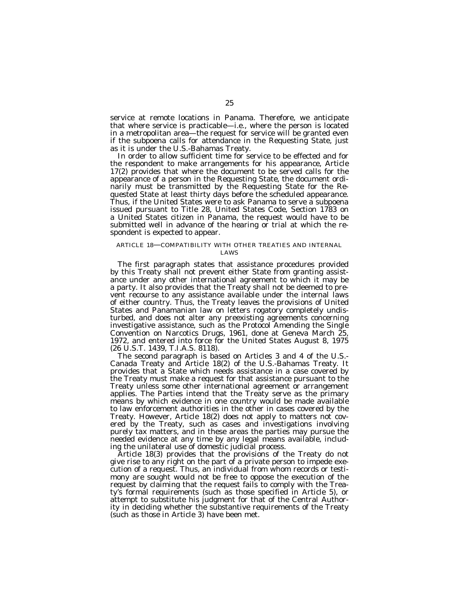service at remote locations in Panama. Therefore, we anticipate that where service is practicable—i.e., where the person is located in a metropolitan area—the request for service will be granted even if the subpoena calls for attendance in the Requesting State, just as it is under the U.S.-Bahamas Treaty.

In order to allow sufficient time for service to be effected and for the respondent to make arrangements for his appearance, Article 17(2) provides that where the document to be served calls for the appearance of a person in the Requesting State, the document ordinarily must be transmitted by the Requesting State for the Requested State at least thirty days before the scheduled appearance. Thus, if the United States were to ask Panama to serve a subpoena issued pursuant to Title 28, United States Code, Section 1783 on a United States citizen in Panama, the request would have to be submitted well in advance of the hearing or trial at which the respondent is expected to appear.

# ARTICLE 18—COMPATIBILITY WITH OTHER TREATIES AND INTERNAL

LAWS

The first paragraph states that assistance procedures provided by this Treaty shall not prevent either State from granting assistance under any other international agreement to which it may be a party. It also provides that the Treaty shall not be deemed to prevent recourse to any assistance available under the internal laws of either country. Thus, the Treaty leaves the provisions of United States and Panamanian law on letters rogatory completely undisturbed, and does not alter any preexisting agreements concerning investigative assistance, such as the Protocol Amending the Single Convention on Narcotics Drugs, 1961, done at Geneva March 25, 1972, and entered into force for the United States August 8, 1975 (26 U.S.T. 1439, T.I.A.S. 8118).

The second paragraph is based on Articles 3 and 4 of the U.S.- Canada Treaty and Article 18(2) of the U.S.-Bahamas Treaty. It provides that a State which needs assistance in a case covered by the Treaty must make a request for that assistance pursuant to the Treaty unless some other international agreement or arrangement applies. The Parties intend that the Treaty serve as the primary means by which evidence in one country would be made available to law enforcement authorities in the other in cases covered by the Treaty. However, Article 18(2) does not apply to matters not covered by the Treaty, such as cases and investigations involving purely tax matters, and in these areas the parties may pursue the needed evidence at any time by any legal means available, including the unilateral use of domestic judicial process.

Article 18(3) provides that the provisions of the Treaty do not give rise to any right on the part of a private person to impede execution of a request. Thus, an individual from whom records or testimony are sought would not be free to oppose the execution of the request by claiming that the request fails to comply with the Treaty's formal requirements (such as those specified in Article 5), or attempt to substitute his judgment for that of the Central Authority in deciding whether the substantive requirements of the Treaty (such as those in Article 3) have been met.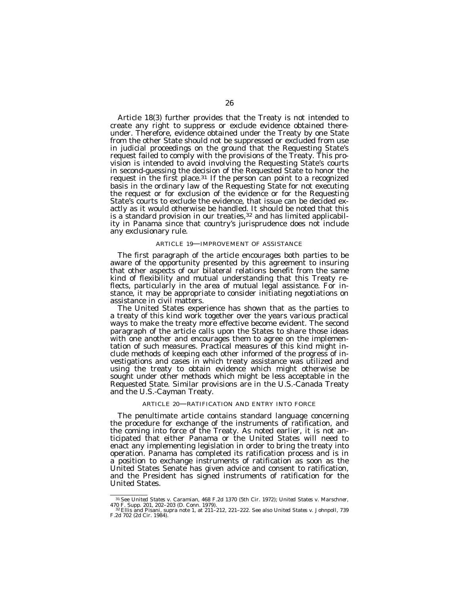Article 18(3) further provides that the Treaty is not intended to create any right to suppress or exclude evidence obtained thereunder. Therefore, evidence obtained under the Treaty by one State from the other State should not be suppressed or excluded from use in judicial proceedings on the ground that the Requesting State's request failed to comply with the provisions of the Treaty. This provision is intended to avoid involving the Requesting State's courts in second-guessing the decision of the Requested State to honor the request in the first place.<sup>31</sup> If the person can point to a recognized basis in the ordinary law of the Requesting State for not executing the request or for exclusion of the evidence or for the Requesting State's courts to exclude the evidence, that issue can be decided exactly as it would otherwise be handled. It should be noted that this is a standard provision in our treaties, $32$  and has limited applicability in Panama since that country's jurisprudence does not include any exclusionary rule.

# ARTICLE 19—IMPROVEMENT OF ASSISTANCE

The first paragraph of the article encourages both parties to be aware of the opportunity presented by this agreement to insuring that other aspects of our bilateral relations benefit from the same kind of flexibility and mutual understanding that this Treaty reflects, particularly in the area of mutual legal assistance. For instance, it may be appropriate to consider initiating negotiations on assistance in civil matters.

The United States experience has shown that as the parties to a treaty of this kind work together over the years various practical ways to make the treaty more effective become evident. The second paragraph of the article calls upon the States to share those ideas with one another and encourages them to agree on the implementation of such measures. Practical measures of this kind might include methods of keeping each other informed of the progress of investigations and cases in which treaty assistance was utilized and using the treaty to obtain evidence which might otherwise be sought under other methods which might be less acceptable in the Requested State. Similar provisions are in the U.S.-Canada Treaty and the U.S.-Cayman Treaty.

# ARTICLE 20—RATIFICATION AND ENTRY INTO FORCE

The penultimate article contains standard language concerning the procedure for exchange of the instruments of ratification, and the coming into force of the Treaty. As noted earlier, it is not anticipated that either Panama or the United States will need to enact any implementing legislation in order to bring the treaty into operation. Panama has completed its ratification process and is in a position to exchange instruments of ratification as soon as the United States Senate has given advice and consent to ratification, and the President has signed instruments of ratification for the United States.

<sup>&</sup>lt;sup>31</sup> See *United States v. Caramian*, 468 F.2d 1370 (5th Cir. 1972); *United States v. Marschner*, 470 F. Supp. 201, 202–203 (D. Conn. 1979).<br><sup>32</sup> Ellis and Pisani, supra note 1, at 211–212, 221–222. See also *United State*